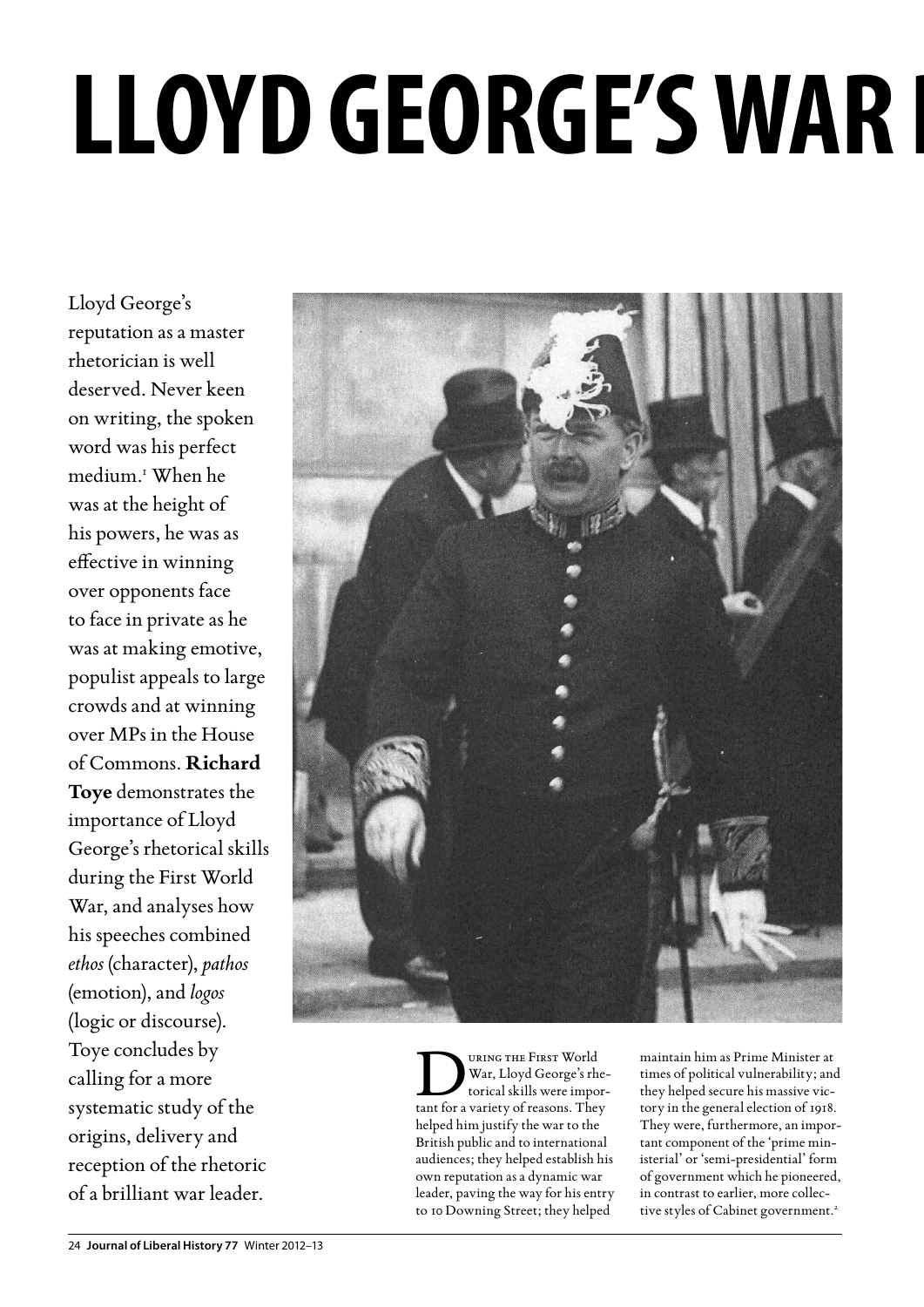# LLOYD GEORGE'S WAR I

Lloyd George's reputation as a master rhetorician is well deserved. Never keen on writing, the spoken word was his perfect medium.1 When he was at the height of his powers, he was as effective in winning over opponents face to face in private as he was at making emotive, populist appeals to large crowds and at winning over MPs in the House of Commons. **Richard Toye** demonstrates the importance of Lloyd George's rhetorical skills during the First World War, and analyses how his speeches combined *ethos* (character), *pathos* (emotion), and *logos* (logic or discourse). Toye concludes by calling for a more systematic study of the origins, delivery and reception of the rhetoric of a brilliant war leader.



URING THE FIRST World<br>
War, Lloyd George's rhe-<br>
torical skills were impor-<br>
tant for a variety of reasons They War, Lloyd George's rhetant for a variety of reasons. They helped him justify the war to the British public and to international audiences; they helped establish his own reputation as a dynamic war leader, paving the way for his entry to 10 Downing Street; they helped

maintain him as Prime Minister at times of political vulnerability; and they helped secure his massive victory in the general election of 1918. They were, furthermore, an important component of the 'prime ministerial' or 'semi-presidential' form of government which he pioneered, in contrast to earlier, more collective styles of Cabinet government.<sup>2</sup>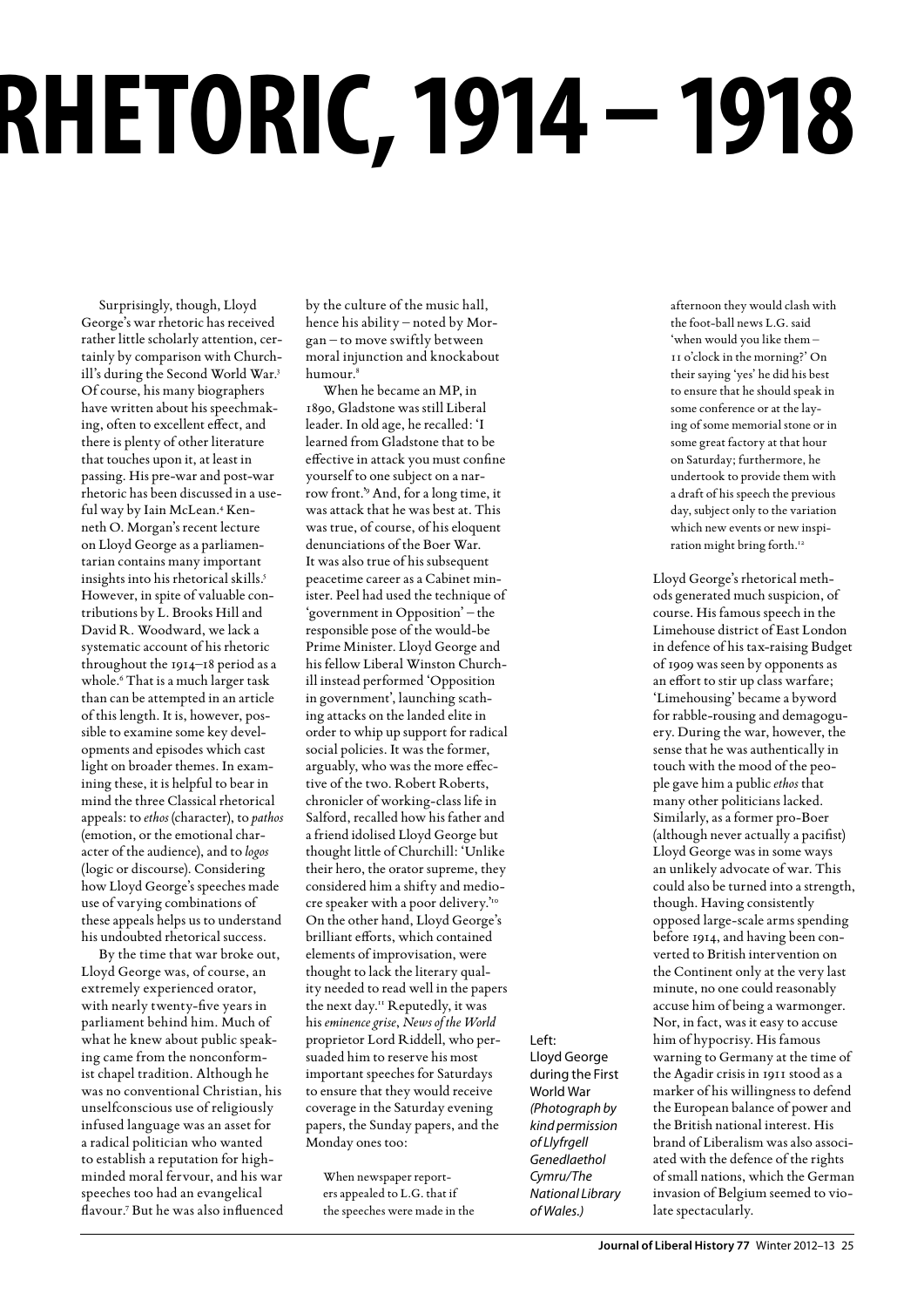# **Lloyd George's War Rhetoric, 1914 – 1918**

Surprisingly, though, Lloyd George's war rhetoric has received rather little scholarly attention, certainly by comparison with Churchill's during the Second World War.3 Of course, his many biographers have written about his speechmaking, often to excellent effect, and there is plenty of other literature that touches upon it, at least in passing. His pre-war and post-war rhetoric has been discussed in a useful way by Iain McLean.4 Kenneth O. Morgan's recent lecture on Lloyd George as a parliamentarian contains many important insights into his rhetorical skills.5 However, in spite of valuable contributions by L. Brooks Hill and David R. Woodward, we lack a systematic account of his rhetoric throughout the 1914–18 period as a whole.<sup>6</sup> That is a much larger task than can be attempted in an article of this length. It is, however, possible to examine some key developments and episodes which cast light on broader themes. In examining these, it is helpful to bear in mind the three Classical rhetorical appeals: to *ethos* (character), to *pathos* (emotion, or the emotional character of the audience), and to *logos* (logic or discourse). Considering how Lloyd George's speeches made use of varying combinations of these appeals helps us to understand his undoubted rhetorical success.

By the time that war broke out, Lloyd George was, of course, an extremely experienced orator, with nearly twenty-five years in parliament behind him. Much of what he knew about public speaking came from the nonconformist chapel tradition. Although he was no conventional Christian, his unselfconscious use of religiously infused language was an asset for a radical politician who wanted to establish a reputation for highminded moral fervour, and his war speeches too had an evangelical flavour.7 But he was also influenced by the culture of the music hall, hence his ability – noted by Morgan – to move swiftly between moral injunction and knockabout humour.8

When he became an MP, in 1890, Gladstone was still Liberal leader. In old age, he recalled: 'I learned from Gladstone that to be effective in attack you must confine yourself to one subject on a narrow front.'9 And, for a long time, it was attack that he was best at. This was true, of course, of his eloquent denunciations of the Boer War. It was also true of his subsequent peacetime career as a Cabinet minister. Peel had used the technique of 'government in Opposition' – the responsible pose of the would-be Prime Minister. Lloyd George and his fellow Liberal Winston Churchill instead performed 'Opposition in government', launching scathing attacks on the landed elite in order to whip up support for radical social policies. It was the former, arguably, who was the more effective of the two. Robert Roberts, chronicler of working-class life in Salford, recalled how his father and a friend idolised Lloyd George but thought little of Churchill: 'Unlike their hero, the orator supreme, they considered him a shifty and mediocre speaker with a poor delivery."<sup>0</sup> On the other hand, Lloyd George's brilliant efforts, which contained elements of improvisation, were thought to lack the literary quality needed to read well in the papers the next day.11 Reputedly, it was his *eminence grise*, *News of the World* proprietor Lord Riddell, who persuaded him to reserve his most important speeches for Saturdays to ensure that they would receive coverage in the Saturday evening papers, the Sunday papers, and the Monday ones too:

When newspaper reporters appealed to L.G. that if the speeches were made in the Left: Lloyd George during the First World War *(Photograph by kind permission of Llyfrgell Genedlaethol Cymru/The National Library of Wales.)*

afternoon they would clash with the foot-ball news L.G. said 'when would you like them – 11 o'clock in the morning?' On their saying 'yes' he did his best to ensure that he should speak in some conference or at the laying of some memorial stone or in some great factory at that hour on Saturday; furthermore, he undertook to provide them with a draft of his speech the previous day, subject only to the variation which new events or new inspiration might bring forth.<sup>12</sup>

Lloyd George's rhetorical methods generated much suspicion, of course. His famous speech in the Limehouse district of East London in defence of his tax-raising Budget of 1909 was seen by opponents as an effort to stir up class warfare; 'Limehousing' became a byword for rabble-rousing and demagoguery. During the war, however, the sense that he was authentically in touch with the mood of the people gave him a public *ethos* that many other politicians lacked. Similarly, as a former pro-Boer (although never actually a pacifist) Lloyd George was in some ways an unlikely advocate of war. This could also be turned into a strength, though. Having consistently opposed large-scale arms spending before 1914, and having been converted to British intervention on the Continent only at the very last minute, no one could reasonably accuse him of being a warmonger. Nor, in fact, was it easy to accuse him of hypocrisy. His famous warning to Germany at the time of the Agadir crisis in 1911 stood as a marker of his willingness to defend the European balance of power and the British national interest. His brand of Liberalism was also associated with the defence of the rights of small nations, which the German invasion of Belgium seemed to violate spectacularly.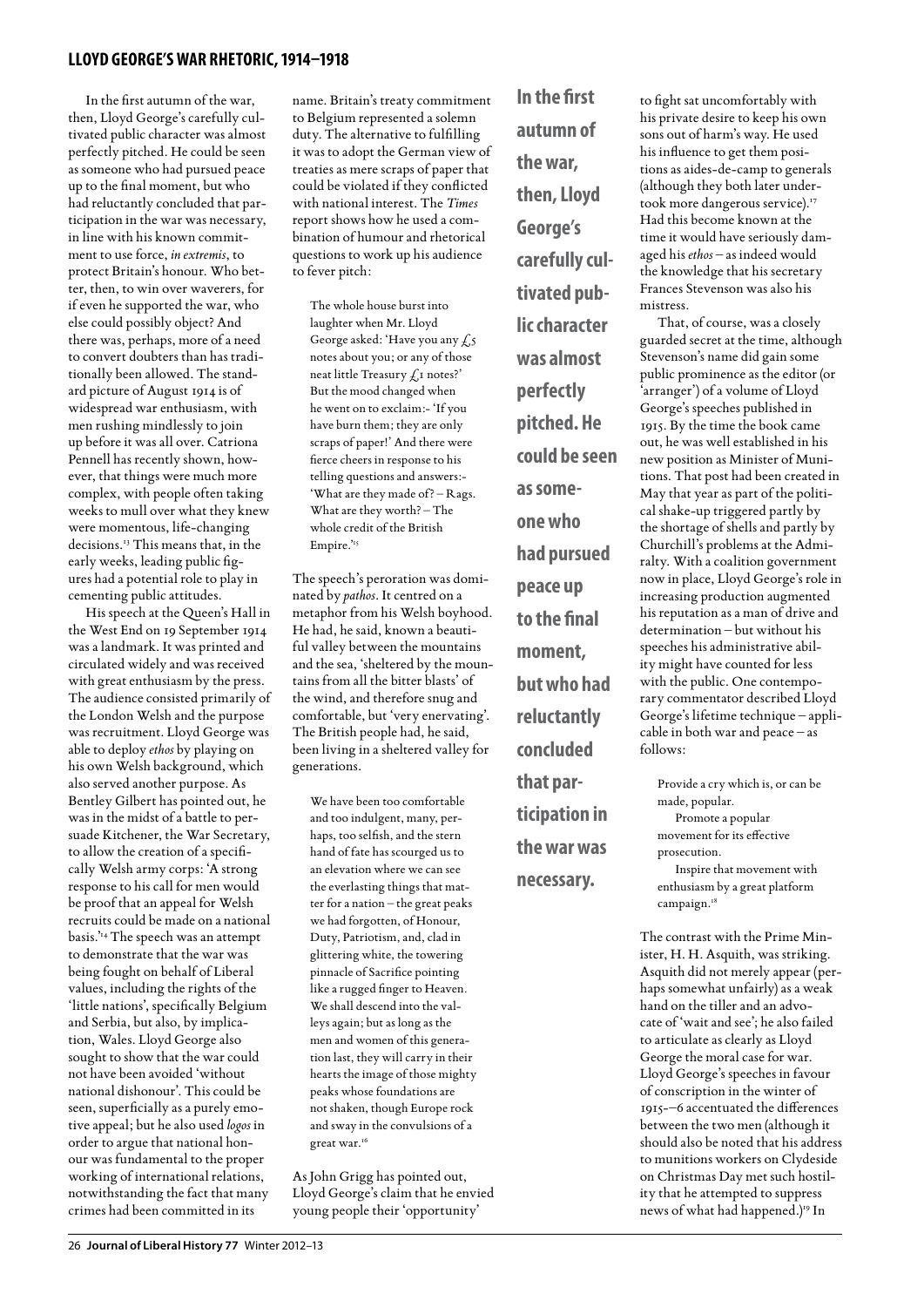### **lloyd george's war rhetoric, 1914–1918**

In the first autumn of the war, then, Lloyd George's carefully cultivated public character was almost perfectly pitched. He could be seen as someone who had pursued peace up to the final moment, but who had reluctantly concluded that participation in the war was necessary, in line with his known commitment to use force, *in extremis*, to protect Britain's honour. Who better, then, to win over waverers, for if even he supported the war, who else could possibly object? And there was, perhaps, more of a need to convert doubters than has traditionally been allowed. The standard picture of August 1914 is of widespread war enthusiasm, with men rushing mindlessly to join up before it was all over. Catriona Pennell has recently shown, however, that things were much more complex, with people often taking weeks to mull over what they knew were momentous, life-changing decisions.13 This means that, in the early weeks, leading public figures had a potential role to play in cementing public attitudes.

His speech at the Queen's Hall in the West End on 19 September 1914 was a landmark. It was printed and circulated widely and was received with great enthusiasm by the press. The audience consisted primarily of the London Welsh and the purpose was recruitment. Lloyd George was able to deploy *ethos* by playing on his own Welsh background, which also served another purpose. As Bentley Gilbert has pointed out, he was in the midst of a battle to persuade Kitchener, the War Secretary, to allow the creation of a specifically Welsh army corps: 'A strong response to his call for men would be proof that an appeal for Welsh recruits could be made on a national basis.'14 The speech was an attempt to demonstrate that the war was being fought on behalf of Liberal values, including the rights of the 'little nations', specifically Belgium and Serbia, but also, by implication, Wales. Lloyd George also sought to show that the war could not have been avoided 'without national dishonour'. This could be seen, superficially as a purely emotive appeal; but he also used *logos* in order to argue that national honour was fundamental to the proper working of international relations, notwithstanding the fact that many crimes had been committed in its

name. Britain's treaty commitment to Belgium represented a solemn duty. The alternative to fulfilling it was to adopt the German view of treaties as mere scraps of paper that could be violated if they conflicted with national interest. The *Times* report shows how he used a combination of humour and rhetorical questions to work up his audience to fever pitch:

The whole house burst into laughter when Mr. Lloyd George asked: 'Have you any  $\xi_5$ notes about you; or any of those neat little Treasury  $f_{\rm d}$  notes?' But the mood changed when he went on to exclaim:- 'If you have burn them; they are only scraps of paper!' And there were fierce cheers in response to his telling questions and answers:- 'What are they made of? – Rags. What are they worth? – The whole credit of the British Empire.'<sup>15</sup>

The speech's peroration was dominated by *pathos*. It centred on a metaphor from his Welsh boyhood. He had, he said, known a beautiful valley between the mountains and the sea, 'sheltered by the mountains from all the bitter blasts' of the wind, and therefore snug and comfortable, but 'very enervating'. The British people had, he said, been living in a sheltered valley for generations.

We have been too comfortable and too indulgent, many, perhaps, too selfish, and the stern hand of fate has scourged us to an elevation where we can see the everlasting things that matter for a nation – the great peaks we had forgotten, of Honour, Duty, Patriotism, and, clad in glittering white, the towering pinnacle of Sacrifice pointing like a rugged finger to Heaven. We shall descend into the valleys again; but as long as the men and women of this generation last, they will carry in their hearts the image of those mighty peaks whose foundations are not shaken, though Europe rock and sway in the convulsions of a great war.<sup>16</sup>

As John Grigg has pointed out, Lloyd George's claim that he envied young people their 'opportunity'

**In the first autumn of the war, then, Lloyd George's carefully cultivated public character was almost perfectly pitched. He could be seen as someone who had pursued peace up to the final moment, but who had reluctantly concluded that participation in the war was** 

**necessary.** 

to fight sat uncomfortably with his private desire to keep his own sons out of harm's way. He used his influence to get them positions as aides-de-camp to generals (although they both later undertook more dangerous service).<sup>17</sup> Had this become known at the time it would have seriously damaged his *ethos* – as indeed would the knowledge that his secretary Frances Stevenson was also his mistress.

That, of course, was a closely guarded secret at the time, although Stevenson's name did gain some public prominence as the editor (or 'arranger') of a volume of Lloyd George's speeches published in 1915. By the time the book came out, he was well established in his new position as Minister of Munitions. That post had been created in May that year as part of the political shake-up triggered partly by the shortage of shells and partly by Churchill's problems at the Admiralty. With a coalition government now in place, Lloyd George's role in increasing production augmented his reputation as a man of drive and determination – but without his speeches his administrative ability might have counted for less with the public. One contemporary commentator described Lloyd George's lifetime technique – applicable in both war and peace – as follows:

Provide a cry which is, or can be made, popular. Promote a popular movement for its effective prosecution. Inspire that movement with enthusiasm by a great platform campaign.<sup>18</sup>

The contrast with the Prime Minister, H. H. Asquith, was striking. Asquith did not merely appear (perhaps somewhat unfairly) as a weak hand on the tiller and an advocate of 'wait and see'; he also failed to articulate as clearly as Lloyd George the moral case for war. Lloyd George's speeches in favour of conscription in the winter of 1915-–6 accentuated the differences between the two men (although it should also be noted that his address to munitions workers on Clydeside on Christmas Day met such hostility that he attempted to suppress news of what had happened.)<sup>19</sup> In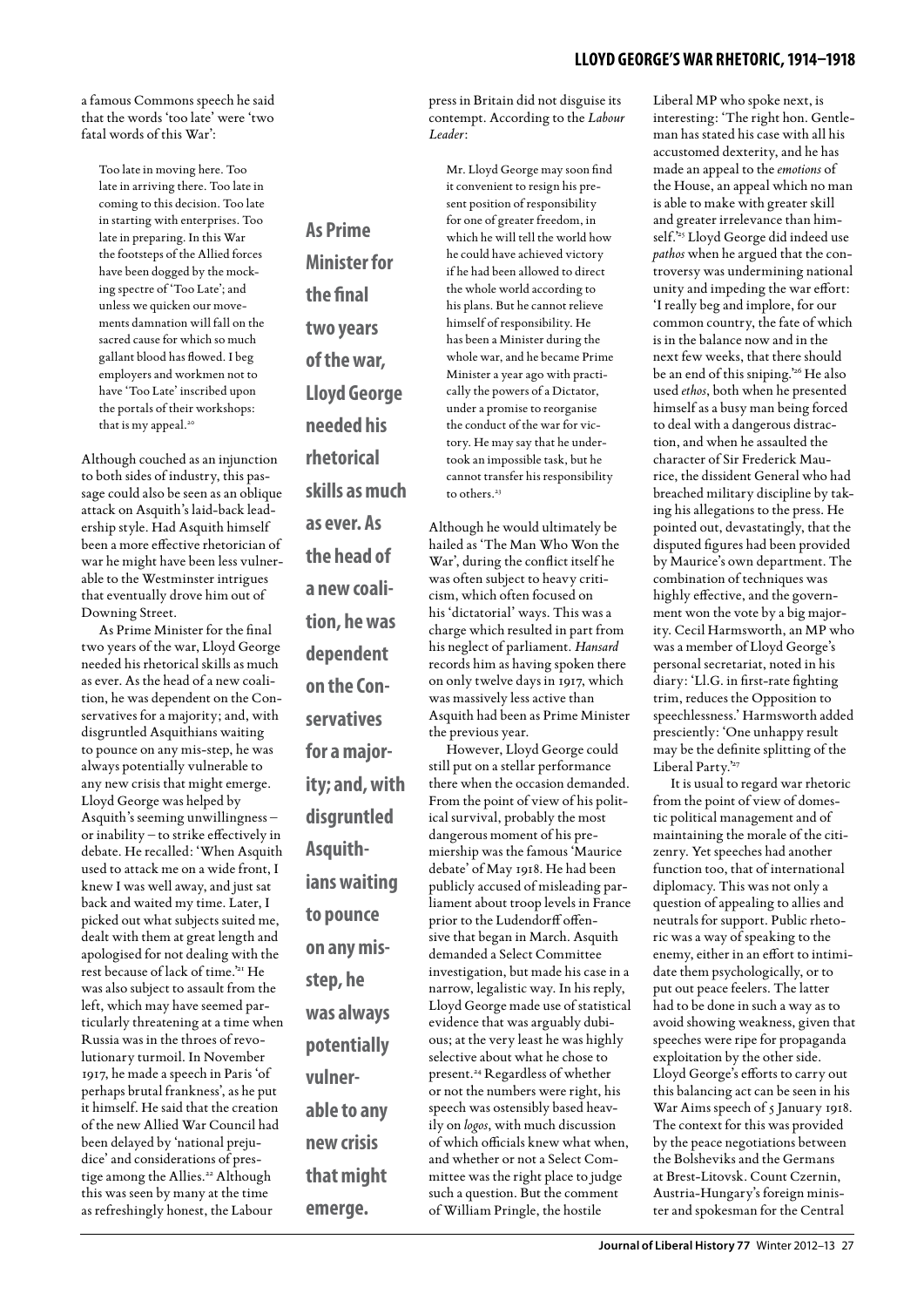a famous Commons speech he said that the words 'too late' were 'two fatal words of this War':

Too late in moving here. Too late in arriving there. Too late in coming to this decision. Too late in starting with enterprises. Too late in preparing. In this War the footsteps of the Allied forces have been dogged by the mocking spectre of 'Too Late'; and unless we quicken our movements damnation will fall on the sacred cause for which so much gallant blood has flowed. I beg employers and workmen not to have 'Too Late' inscribed upon the portals of their workshops: that is my appeal.<sup>20</sup>

Although couched as an injunction to both sides of industry, this passage could also be seen as an oblique attack on Asquith's laid-back leadership style. Had Asquith himself been a more effective rhetorician of war he might have been less vulnerable to the Westminster intrigues that eventually drove him out of Downing Street.

As Prime Minister for the final two years of the war, Lloyd George needed his rhetorical skills as much as ever. As the head of a new coalition, he was dependent on the Conservatives for a majority; and, with disgruntled Asquithians waiting to pounce on any mis-step, he was always potentially vulnerable to any new crisis that might emerge. Lloyd George was helped by Asquith's seeming unwillingness – or inability – to strike effectively in debate. He recalled: 'When Asquith used to attack me on a wide front, I knew I was well away, and just sat back and waited my time. Later, I picked out what subjects suited me, dealt with them at great length and apologised for not dealing with the rest because of lack of time.'21 He was also subject to assault from the left, which may have seemed particularly threatening at a time when Russia was in the throes of revolutionary turmoil. In November 1917, he made a speech in Paris 'of perhaps brutal frankness', as he put it himself. He said that the creation of the new Allied War Council had been delayed by 'national prejudice' and considerations of prestige among the Allies.<sup>22</sup> Although this was seen by many at the time as refreshingly honest, the Labour

**As Prime Minister for the final two years of the war, Lloyd George needed his rhetorical skills as much as ever. As the head of a new coalition, he was dependent on the Conservatives for a majority; and, with disgruntled Asquithians waiting to pounce on any misstep, he was always potentially vulnerable to any new crisis that might** 

**emerge.** 

press in Britain did not disguise its contempt. According to the *Labour Leader*:

Mr. Lloyd George may soon find it convenient to resign his present position of responsibility for one of greater freedom, in which he will tell the world how he could have achieved victory if he had been allowed to direct the whole world according to his plans. But he cannot relieve himself of responsibility. He has been a Minister during the whole war, and he became Prime Minister a year ago with practically the powers of a Dictator, under a promise to reorganise the conduct of the war for victory. He may say that he undertook an impossible task, but he cannot transfer his responsibility to others.<sup>23</sup>

Although he would ultimately be hailed as 'The Man Who Won the War', during the conflict itself he was often subject to heavy criticism, which often focused on his 'dictatorial' ways. This was a charge which resulted in part from his neglect of parliament. *Hansard* records him as having spoken there on only twelve days in 1917, which was massively less active than Asquith had been as Prime Minister the previous year.

However, Lloyd George could still put on a stellar performance there when the occasion demanded. From the point of view of his political survival, probably the most dangerous moment of his premiership was the famous 'Maurice debate' of May 1918. He had been publicly accused of misleading parliament about troop levels in France prior to the Ludendorff offensive that began in March. Asquith demanded a Select Committee investigation, but made his case in a narrow, legalistic way. In his reply, Lloyd George made use of statistical evidence that was arguably dubious; at the very least he was highly selective about what he chose to present.<sup>24</sup> Regardless of whether or not the numbers were right, his speech was ostensibly based heavily on *logos*, with much discussion of which officials knew what when, and whether or not a Select Committee was the right place to judge such a question. But the comment of William Pringle, the hostile

Liberal MP who spoke next, is interesting: 'The right hon. Gentleman has stated his case with all his accustomed dexterity, and he has made an appeal to the *emotions* of the House, an appeal which no man is able to make with greater skill and greater irrelevance than himself.<sup>25</sup> Lloyd George did indeed use *pathos* when he argued that the controversy was undermining national unity and impeding the war effort: 'I really beg and implore, for our common country, the fate of which is in the balance now and in the next few weeks, that there should be an end of this sniping.'26 He also used *ethos*, both when he presented himself as a busy man being forced to deal with a dangerous distraction, and when he assaulted the character of Sir Frederick Maurice, the dissident General who had breached military discipline by taking his allegations to the press. He pointed out, devastatingly, that the disputed figures had been provided by Maurice's own department. The combination of techniques was highly effective, and the government won the vote by a big majority. Cecil Harmsworth, an MP who was a member of Lloyd George's personal secretariat, noted in his diary: 'Ll.G. in first-rate fighting trim, reduces the Opposition to speechlessness.' Harmsworth added presciently: 'One unhappy result may be the definite splitting of the Liberal Party.'27

It is usual to regard war rhetoric from the point of view of domestic political management and of maintaining the morale of the citizenry. Yet speeches had another function too, that of international diplomacy. This was not only a question of appealing to allies and neutrals for support. Public rhetoric was a way of speaking to the enemy, either in an effort to intimidate them psychologically, or to put out peace feelers. The latter had to be done in such a way as to avoid showing weakness, given that speeches were ripe for propaganda exploitation by the other side. Lloyd George's efforts to carry out this balancing act can be seen in his War Aims speech of 5 January 1918. The context for this was provided by the peace negotiations between the Bolsheviks and the Germans at Brest-Litovsk. Count Czernin, Austria-Hungary's foreign minister and spokesman for the Central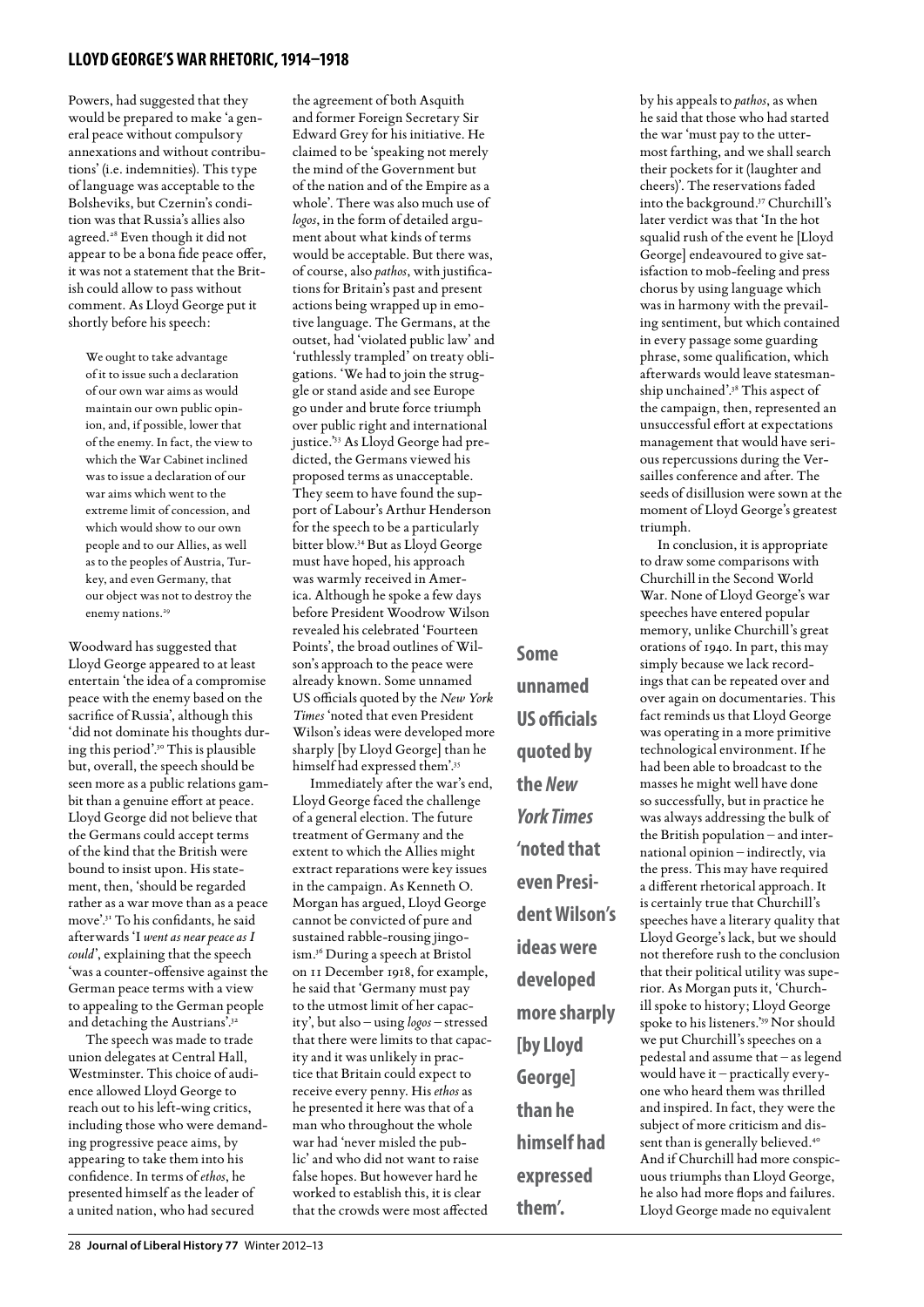## **lloyd george's war rhetoric, 1914–1918**

Powers, had suggested that they would be prepared to make 'a general peace without compulsory annexations and without contributions' (i.e. indemnities). This type of language was acceptable to the Bolsheviks, but Czernin's condition was that Russia's allies also agreed.28 Even though it did not appear to be a bona fide peace offer, it was not a statement that the British could allow to pass without comment. As Lloyd George put it shortly before his speech:

We ought to take advantage of it to issue such a declaration of our own war aims as would maintain our own public opinion, and, if possible, lower that of the enemy. In fact, the view to which the War Cabinet inclined was to issue a declaration of our war aims which went to the extreme limit of concession, and which would show to our own people and to our Allies, as well as to the peoples of Austria, Turkey, and even Germany, that our object was not to destroy the enemy nations.<sup>29</sup>

Woodward has suggested that Lloyd George appeared to at least entertain 'the idea of a compromise peace with the enemy based on the sacrifice of Russia', although this 'did not dominate his thoughts during this period'.30 This is plausible but, overall, the speech should be seen more as a public relations gambit than a genuine effort at peace. Lloyd George did not believe that the Germans could accept terms of the kind that the British were bound to insist upon. His statement, then, 'should be regarded rather as a war move than as a peace move'.31 To his confidants, he said afterwards 'I *went as near peace as I could*', explaining that the speech 'was a counter-offensive against the German peace terms with a view to appealing to the German people and detaching the Austrians'.<sup>32</sup>

The speech was made to trade union delegates at Central Hall, Westminster. This choice of audience allowed Lloyd George to reach out to his left-wing critics, including those who were demanding progressive peace aims, by appearing to take them into his confidence. In terms of *ethos*, he presented himself as the leader of a united nation, who had secured

the agreement of both Asquith and former Foreign Secretary Sir Edward Grey for his initiative. He claimed to be 'speaking not merely the mind of the Government but of the nation and of the Empire as a whole'. There was also much use of *logos*, in the form of detailed argument about what kinds of terms would be acceptable. But there was, of course, also *pathos*, with justifications for Britain's past and present actions being wrapped up in emotive language. The Germans, at the outset, had 'violated public law' and 'ruthlessly trampled' on treaty obligations. 'We had to join the struggle or stand aside and see Europe go under and brute force triumph over public right and international justice.'33 As Lloyd George had predicted, the Germans viewed his proposed terms as unacceptable. They seem to have found the support of Labour's Arthur Henderson for the speech to be a particularly bitter blow.34 But as Lloyd George must have hoped, his approach was warmly received in America. Although he spoke a few days before President Woodrow Wilson revealed his celebrated 'Fourteen Points', the broad outlines of Wilson's approach to the peace were already known. Some unnamed US officials quoted by the *New York Times* 'noted that even President Wilson's ideas were developed more sharply [by Lloyd George] than he

himself had expressed them'.35 Immediately after the war's end, Lloyd George faced the challenge of a general election. The future treatment of Germany and the extent to which the Allies might extract reparations were key issues in the campaign. As Kenneth O. Morgan has argued, Lloyd George cannot be convicted of pure and sustained rabble-rousing jingoism.36 During a speech at Bristol on 11 December 1918, for example, he said that 'Germany must pay to the utmost limit of her capacity', but also – using *logos* – stressed that there were limits to that capacity and it was unlikely in practice that Britain could expect to receive every penny. His *ethos* as he presented it here was that of a man who throughout the whole war had 'never misled the public' and who did not want to raise false hopes. But however hard he worked to establish this, it is clear that the crowds were most affected

**Some unnamed US officials quoted by the** *New York Times* **'noted that even President Wilson's ideas were developed more sharply [by Lloyd George] than he himself had expressed them'.**

by his appeals to *pathos*, as when he said that those who had started the war 'must pay to the uttermost farthing, and we shall search their pockets for it (laughter and cheers)'. The reservations faded into the background.37 Churchill's later verdict was that 'In the hot squalid rush of the event he [Lloyd George] endeavoured to give satisfaction to mob-feeling and press chorus by using language which was in harmony with the prevailing sentiment, but which contained in every passage some guarding phrase, some qualification, which afterwards would leave statesmanship unchained'.38 This aspect of the campaign, then, represented an unsuccessful effort at expectations management that would have serious repercussions during the Versailles conference and after. The seeds of disillusion were sown at the moment of Lloyd George's greatest triumph.

In conclusion, it is appropriate to draw some comparisons with Churchill in the Second World War. None of Lloyd George's war speeches have entered popular memory, unlike Churchill's great orations of 1940. In part, this may simply because we lack recordings that can be repeated over and over again on documentaries. This fact reminds us that Lloyd George was operating in a more primitive technological environment. If he had been able to broadcast to the masses he might well have done so successfully, but in practice he was always addressing the bulk of the British population – and international opinion – indirectly, via the press. This may have required a different rhetorical approach. It is certainly true that Churchill's speeches have a literary quality that Lloyd George's lack, but we should not therefore rush to the conclusion that their political utility was superior. As Morgan puts it, 'Churchill spoke to history; Lloyd George spoke to his listeners.'39 Nor should we put Churchill's speeches on a pedestal and assume that – as legend would have it – practically everyone who heard them was thrilled and inspired. In fact, they were the subject of more criticism and dissent than is generally believed.<sup>40</sup> And if Churchill had more conspicuous triumphs than Lloyd George, he also had more flops and failures. Lloyd George made no equivalent